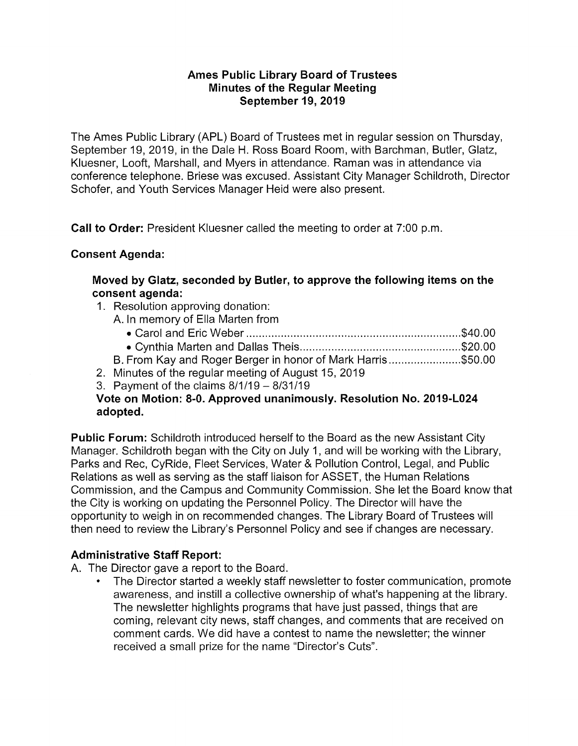#### **Ames Public Library Board of Trustees Minutes of the Regular Meeting September 19, 2019**

The Ames Public Library (APL) Board of Trustees met in regular session on Thursday, September 19, 2019, in the Dale H. Ross Board Room, with Barchman, Butler, Glatz, Kluesner, Looft, Marshall, and Myers in attendance. Raman was in attendance via conference telephone. Briese was excused. Assistant City Manager Schildroth, Director Schofer, and Youth Services Manager Heid were also present.

**Call to Order:** President Kluesner called the meeting to order at 7:00 p.m.

## **Consent Agenda:**

**Moved by Glatz, seconded by Butler, to approve the following items on the consent agenda:** 

- 1. Resolution approving donation:
	- A. In memory of Ella Marten from
		- Carol and Eric Weber .................................................................... \$40.00
		- Cynthia Marten and Dallas Theis ................................................... \$20.00

B. From Kay and Roger Berger in honor of Mark Harris ....................... \$50.00

- 2. Minutes of the regular meeting of August 15, 2019
- 3. Payment of the claims  $8/1/19 8/31/19$

### **Vote on Motion: 8-0. Approved unanimously. Resolution No. 2019-L024 adopted.**

**Public Forum:** Schildroth introduced herself to the Board as the new Assistant City Manager. Schildroth began with the City on July 1, and will be working with the Library, Parks and Rec, CyRide, Fleet Services, Water & Pollution Control, Legal, and Public Relations as well as serving as the staff liaison for ASSET, the Human Relations Commission, and the Campus and Community Commission. She let the Board know that the City is working on updating the Personnel Policy. The Director will have the opportunity to weigh in on recommended changes. The Library Board of Trustees will then need to review the Library's Personnel Policy and see if changes are necessary.

### **Administrative Staff Report:**

A. The Director gave a report to the Board.

• The Director started a weekly staff newsletter to foster communication, promote awareness, and instill a collective ownership of what's happening at the library. The newsletter highlights programs that have just passed, things that are coming, relevant city news, staff changes, and comments that are received on comment cards. We did have a contest to name the newsletter; the winner received a small prize for the name "Director's Cuts".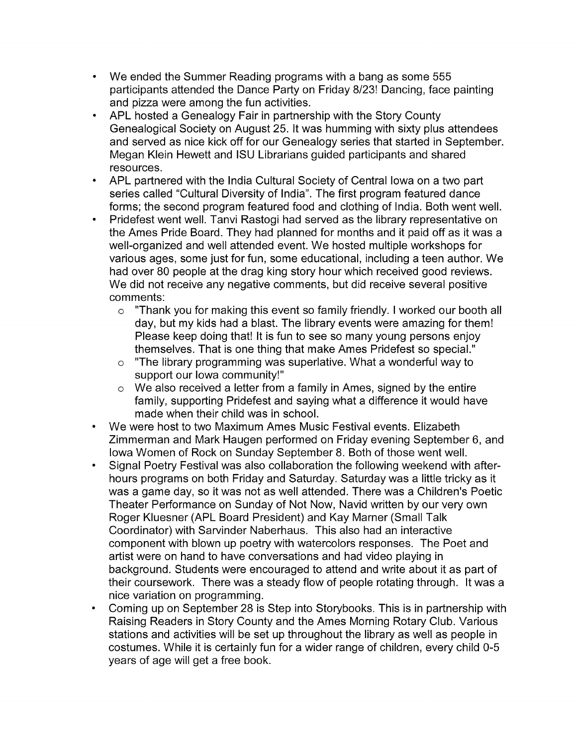- We ended the Summer Reading programs with a bang as some 555 participants attended the Dance Party on Friday 8/23! Dancing, face painting and pizza were among the fun activities.
- APL hosted a Genealogy Fair in partnership with the Story County Genealogical Society on August 25. It was humming with sixty plus attendees and served as nice kick off for our Genealogy series that started in September. Megan Klein Hewett and ISU Librarians guided participants and shared resources.
- APL partnered with the India Cultural Society of Central Iowa on a two part series called "Cultural Diversity of India". The first program featured dance forms; the second program featured food and clothing of India. Both went well.
- Pridefest went well. Tanvi Rastogi had served as the library representative on the Ames Pride Board. They had planned for months and it paid off as it was a well-organized and well attended event. We hosted multiple workshops for various ages, some just for fun, some educational, including a teen author. We had over 80 people at the drag king story hour which received good reviews. We did not receive any negative comments, but did receive several positive comments:
	- o "Thank you for making this event so family friendly. I worked our booth all day, but my kids had a blast. The library events were amazing for them! Please keep doing that! It is fun to see so many young persons enjoy themselves. That is one thing that make Ames Pridefest so special."
	- o "The library programming was superlative. What a wonderful way to support our Iowa community!"
	- o We also received a letter from a family in Ames, signed by the entire family, supporting Pridefest and saying what a difference it would have made when their child was in school.
- We were host to two Maximum Ames Music Festival events. Elizabeth Zimmerman and Mark Haugen performed on Friday evening September 6, and Iowa Women of Rock on Sunday September 8. Both of those went well.
- Signal Poetry Festival was also collaboration the following weekend with afterhours programs on both Friday and Saturday. Saturday was a little tricky as it was a game day, so it was not as well attended. There was a Children's Poetic Theater Performance on Sunday of Not Now, Navid written by our very own Roger Kluesner (APL Board President) and Kay Marner (Small Talk Coordinator) with Sarvinder Naberhaus. This also had an interactive component with blown up poetry with watercolors responses. The Poet and artist were on hand to have conversations and had video playing in background. Students were encouraged to attend and write about it as part of their coursework. There was a steady flow of people rotating through. It was a nice variation on programming.
- Coming up on September 28 is Step into Storybooks. This is in partnership with Raising Readers in Story County and the Ames Morning Rotary Club. Various stations and activities will be set up throughout the library as well as people in costumes. While it is certainly fun for a wider range of children, every child 0-5 years of age will get a free book.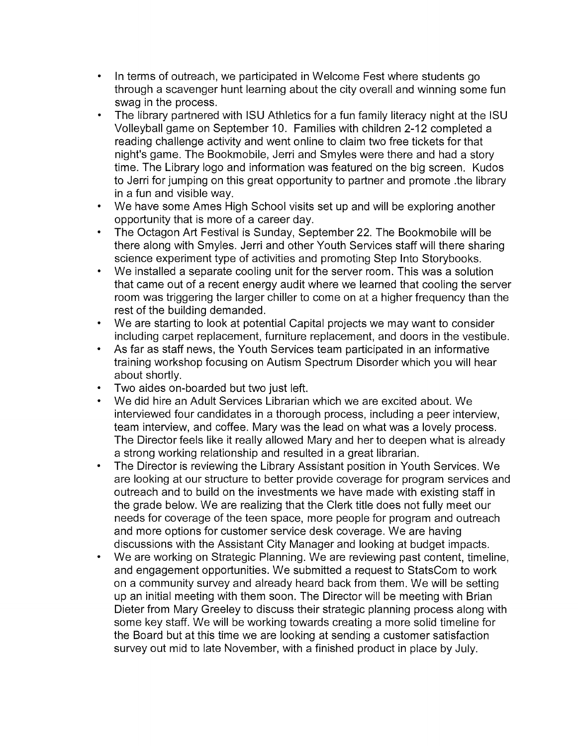- In terms of outreach, we participated in Welcome Fest where students go through a scavenger hunt learning about the city overall and winning some fun swag in the process.
- The library partnered with ISU Athletics for a fun family literacy night at the ISU Volleyball game on September 10. Families with children 2-12 completed a reading challenge activity and went online to claim two free tickets for that night's game. The Bookmobile, Jerri and Smyles were there and had a story time. The Library logo and information was featured on the big screen. Kudos to Jerri for jumping on this great opportunity to partner and promote .the library in a fun and visible way.
- We have some Ames High School visits set up and will be exploring another opportunity that is more of a career day.
- The Octagon Art Festival is Sunday, September 22. The Bookmobile will be there along with Smyles. Jerri and other Youth Services staff will there sharing science experiment type of activities and promoting Step Into Storybooks.
- We installed a separate cooling unit for the server room. This was a solution that came out of a recent energy audit where we learned that cooling the server room was triggering the larger chiller to come on at a higher frequency than the rest of the building demanded.
- We are starting to look at potential Capital projects we may want to consider including carpet replacement, furniture replacement, and doors in the vestibule.
- As far as staff news, the Youth Services team participated in an informative training workshop focusing on Autism Spectrum Disorder which you will hear about shortly.
- Two aides on-boarded but two just left.
- We did hire an Adult Services Librarian which we are excited about. We interviewed four candidates in a thorough process, including a peer interview, team interview, and coffee. Mary was the lead on what was a lovely process. The Director feels like it really allowed Mary and her to deepen what is already a strong working relationship and resulted in a great librarian.
- The Director is reviewing the Library Assistant position in Youth Services. We are looking at our structure to better provide coverage for program services and outreach and to build on the investments we have made with existing staff in the grade below. We are realizing that the Clerk title does not fully meet our needs for coverage of the teen space, more people for program and outreach and more options for customer service desk coverage. We are having discussions with the Assistant City Manager and looking at budget impacts.
- We are working on Strategic Planning. We are reviewing past content, timeline, and engagement opportunities. We submitted a request to StatsCom to work on a community survey and already heard back from them. We will be setting up an initial meeting with them soon. The Director will be meeting with Brian Dieter from Mary Greeley to discuss their strategic planning process along with some key staff. We will be working towards creating a more solid timeline for the Board but at this time we are looking at sending a customer satisfaction survey out mid to late November, with a finished product in place by July.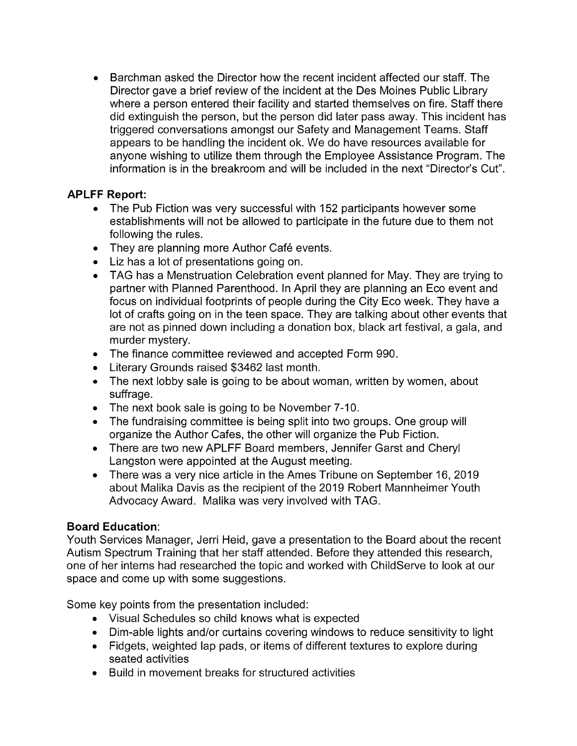• Barchman asked the Director how the recent incident affected our staff. The Director gave a brief review of the incident at the Des Moines Public Library where a person entered their facility and started themselves on fire. Staff there did extinguish the person, but the person did later pass away. This incident has triggered conversations amongst our Safety and Management Teams. Staff appears to be handling the incident ok. We do have resources available for anyone wishing to utilize them through the Employee Assistance Program. The information is in the breakroom and will be included in the next "Director's Cut".

# **APLFF Report:**

- The Pub Fiction was very successful with 152 participants however some establishments will not be allowed to participate in the future due to them not following the rules.
- They are planning more Author Café events.
- Liz has a lot of presentations going on.
- TAG has a Menstruation Celebration event planned for May. They are trying to partner with Planned Parenthood. In April they are planning an Eco event and focus on individual footprints of people during the City Eco week. They have a lot of crafts going on in the teen space. They are talking about other events that are not as pinned down including a donation box, black art festival, a gala, and murder mystery.
- The finance committee reviewed and accepted Form 990.
- Literary Grounds raised \$3462 last month.
- The next lobby sale is going to be about woman, written by women, about suffrage.
- The next book sale is going to be November 7-10.
- The fundraising committee is being split into two groups. One group will organize the Author Cates, the other will organize the Pub Fiction.
- There are two new APLFF Board members, Jennifer Garst and Cheryl Langston were appointed at the August meeting.
- There was a very nice article in the Ames Tribune on September 16, 2019 about Malika Davis as the recipient of the 2019 Robert Mannheimer Youth Advocacy Award. Malika was very involved with TAG.

# **Board Education:**

Youth Services Manager, Jerri Heid, gave a presentation to the Board about the recent Autism Spectrum Training that her staff attended. Before they attended this research, one of her interns had researched the topic and worked with ChildServe to look at our space and come up with some suggestions.

Some key points from the presentation included:

- Visual Schedules so child knows what is expected
- Dim-able lights and/or curtains covering windows to reduce sensitivity to light
- Fidgets, weighted lap pads, or items of different textures to explore during seated activities
- Build in movement breaks for structured activities